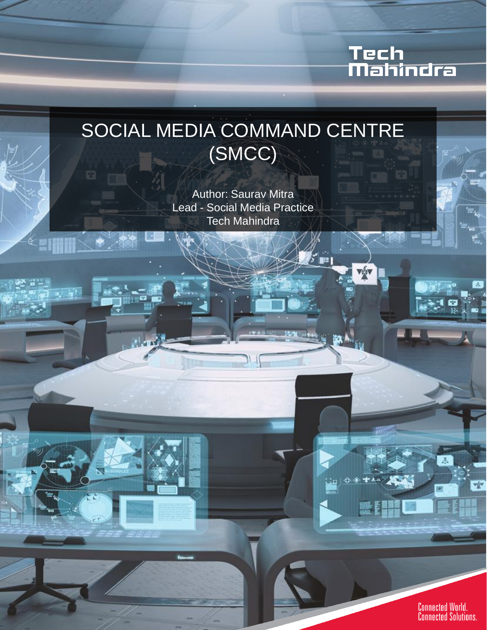## Tech<br>Mahindra

### SOCIAL MEDIA COMMAND CENTRE (SMCC)

Author: Saurav Mitra Lead - Social Media Practice Tech Mahindra

' 53 L

EINT

 $\mathcal{R}^1$  and

**Connected World.**<br>Connected Solutions.

œ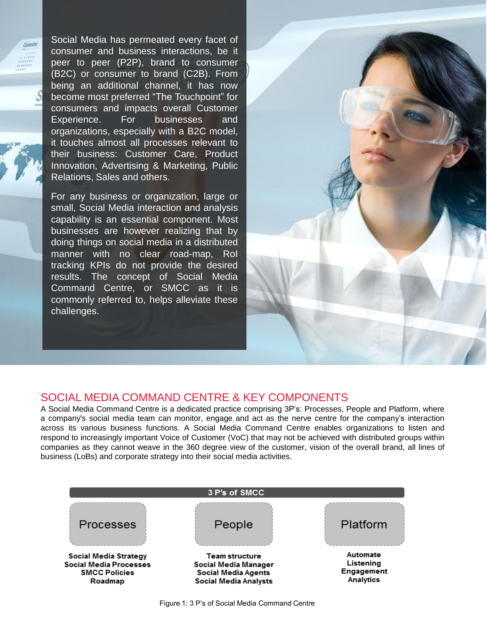Social Media has permeated every facet of consumer and business interactions, be it peer to peer (P2P), brand to consumer (B2C) or consumer to brand (C2B). From being an additional channel, it has now become most preferred "The Touchpoint" for consumers and impacts overall Customer Experience. For businesses and organizations, especially with a B2C model, it touches almost all processes relevant to their business: Customer Care, Product Innovation, Advertising & Marketing, Public Relations, Sales and others.

Calanda

For any business or organization, large or small, Social Media interaction and analysis capability is an essential component. Most businesses are however realizing that by doing things on social media in a distributed manner with no clear road-map, RoI tracking KPIs do not provide the desired results. The concept of Social Media Command Centre, or SMCC as it is commonly referred to, helps alleviate these challenges.



#### SOCIAL MEDIA COMMAND CENTRE & KEY COMPONENTS

A Social Media Command Centre is a dedicated practice comprising 3P's: Processes, People and Platform, where a company's social media team can monitor, engage and act as the nerve centre for the company's interaction across its various business functions. A Social Media Command Centre enables organizations to listen and respond to increasingly important Voice of Customer (VoC) that may not be achieved with distributed groups within companies as they cannot weave in the 360 degree view of the customer, vision of the overall brand, all lines of business (LoBs) and corporate strategy into their social media activities.

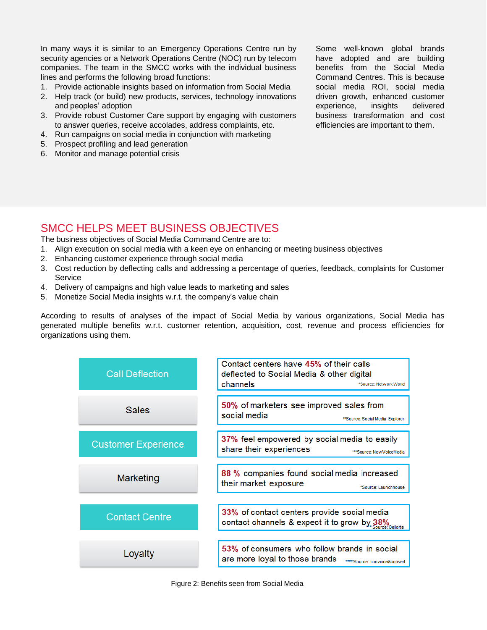In many ways it is similar to an Emergency Operations Centre run by security agencies or a Network Operations Centre (NOC) run by telecom companies. The team in the SMCC works with the individual business lines and performs the following broad functions:

- 1. Provide actionable insights based on information from Social Media
- 2. Help track (or build) new products, services, technology innovations and peoples' adoption
- 3. Provide robust Customer Care support by engaging with customers to answer queries, receive accolades, address complaints, etc.
- 4. Run campaigns on social media in conjunction with marketing
- 5. Prospect profiling and lead generation
- 6. Monitor and manage potential crisis

Some well-known global brands have adopted and are building benefits from the Social Media Command Centres. This is because social media ROI, social media driven growth, enhanced customer experience, insights delivered business transformation and cost efficiencies are important to them.

#### SMCC HELPS MEET BUSINESS OBJECTIVES

The business objectives of Social Media Command Centre are to:

- 1. Align execution on social media with a keen eye on enhancing or meeting business objectives
- 2. Enhancing customer experience through social media
- 3. Cost reduction by deflecting calls and addressing a percentage of queries, feedback, complaints for Customer **Service**
- 4. Delivery of campaigns and high value leads to marketing and sales
- 5. Monetize Social Media insights w.r.t. the company's value chain

According to results of analyses of the impact of Social Media by various organizations, Social Media has generated multiple benefits w.r.t. customer retention, acquisition, cost, revenue and process efficiencies for organizations using them.

| <b>Call Deflection</b>     | Contact centers have 45% of their calls<br>deflected to Social Media & other digital<br>channels<br>*Source: Network World |
|----------------------------|----------------------------------------------------------------------------------------------------------------------------|
| <b>Sales</b>               | 50% of marketers see improved sales from<br>social media<br>**Source: Social Media Explorer                                |
| <b>Customer Experience</b> | 37% feel empowered by social media to easily<br>share their experiences<br>***Source: New VoiceMedia                       |
| Marketing                  | 88 % companies found social media increased<br>their market exposure<br>"Source: Launchhouse                               |
| <b>Contact Centre</b>      | 33% of contact centers provide social media<br>contact channels & expect it to grow by 38%                                 |
| Loyalty                    | 53% of consumers who follow brands in social<br>are more loyal to those brands<br>*****Source: convince&convert            |

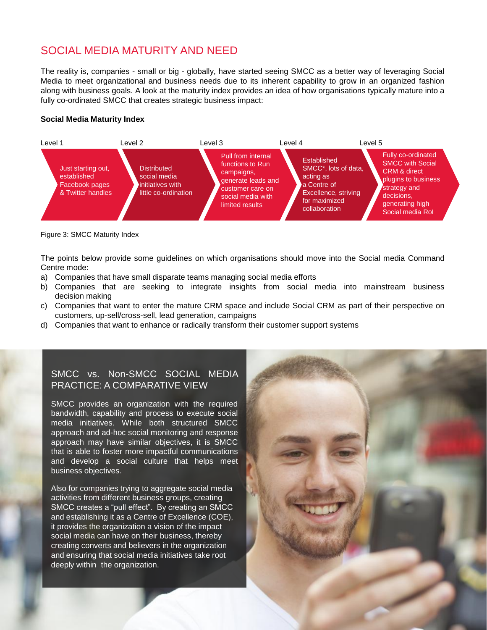#### SOCIAL MEDIA MATURITY AND NEED

The reality is, companies - small or big - globally, have started seeing SMCC as a better way of leveraging Social Media to meet organizational and business needs due to its inherent capability to grow in an organized fashion along with business goals. A look at the maturity index provides an idea of how organisations typically mature into a fully co-ordinated SMCC that creates strategic business impact:

#### **Social Media Maturity Index**



Figure 3: SMCC Maturity Index

The points below provide some guidelines on which organisations should move into the Social media Command Centre mode:

- a) Companies that have small disparate teams managing social media efforts
- b) Companies that are seeking to integrate insights from social media into mainstream business decision making
- c) Companies that want to enter the mature CRM space and include Social CRM as part of their perspective on customers, up-sell/cross-sell, lead generation, campaigns
- d) Companies that want to enhance or radically transform their customer support systems

#### SMCC vs. Non-SMCC SOCIAL MEDIA PRACTICE: A COMPARATIVE VIEW

SMCC provides an organization with the required bandwidth, capability and process to execute social media initiatives. While both structured SMCC approach and ad-hoc social monitoring and response approach may have similar objectives, it is SMCC that is able to foster more impactful communications and develop a social culture that helps meet business objectives.

Also for companies trying to aggregate social media activities from different business groups, creating SMCC creates a "pull effect". By creating an SMCC and establishing it as a Centre of Excellence (COE), it provides the organization a vision of the impact social media can have on their business, thereby creating converts and believers in the organization and ensuring that social media initiatives take root deeply within the organization.

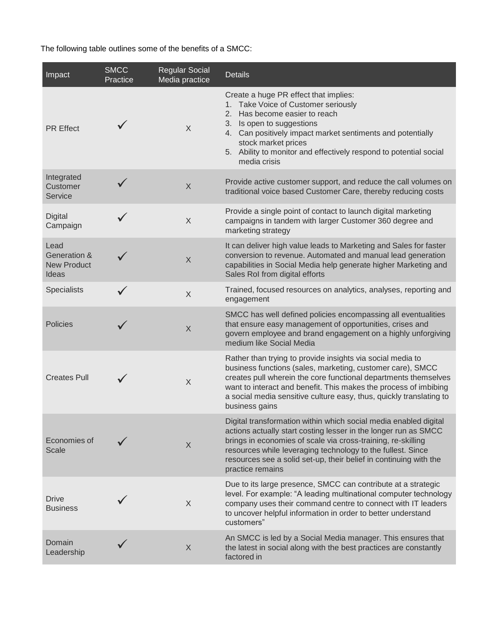The following table outlines some of the benefits of a SMCC:

| Impact                                                         | <b>SMCC</b><br>Practice | <b>Regular Social</b><br>Media practice | <b>Details</b>                                                                                                                                                                                                                                                                                                                                              |
|----------------------------------------------------------------|-------------------------|-----------------------------------------|-------------------------------------------------------------------------------------------------------------------------------------------------------------------------------------------------------------------------------------------------------------------------------------------------------------------------------------------------------------|
| <b>PR</b> Effect                                               |                         | X                                       | Create a huge PR effect that implies:<br>1. Take Voice of Customer seriously<br>Has become easier to reach<br>2.<br>3. Is open to suggestions<br>4. Can positively impact market sentiments and potentially<br>stock market prices<br>5. Ability to monitor and effectively respond to potential social<br>media crisis                                     |
| Integrated<br>Customer<br><b>Service</b>                       |                         | X                                       | Provide active customer support, and reduce the call volumes on<br>traditional voice based Customer Care, thereby reducing costs                                                                                                                                                                                                                            |
| Digital<br>Campaign                                            |                         | $\times$                                | Provide a single point of contact to launch digital marketing<br>campaigns in tandem with larger Customer 360 degree and<br>marketing strategy                                                                                                                                                                                                              |
| Lead<br><b>Generation &amp;</b><br><b>New Product</b><br>Ideas |                         | X                                       | It can deliver high value leads to Marketing and Sales for faster<br>conversion to revenue. Automated and manual lead generation<br>capabilities in Social Media help generate higher Marketing and<br>Sales Rol from digital efforts                                                                                                                       |
| Specialists                                                    |                         | $\sf X$                                 | Trained, focused resources on analytics, analyses, reporting and<br>engagement                                                                                                                                                                                                                                                                              |
| <b>Policies</b>                                                |                         | X                                       | SMCC has well defined policies encompassing all eventualities<br>that ensure easy management of opportunities, crises and<br>govern employee and brand engagement on a highly unforgiving<br>medium like Social Media                                                                                                                                       |
| <b>Creates Pull</b>                                            |                         | $\sf X$                                 | Rather than trying to provide insights via social media to<br>business functions (sales, marketing, customer care), SMCC<br>creates pull wherein the core functional departments themselves<br>want to interact and benefit. This makes the process of imbibing<br>a social media sensitive culture easy, thus, quickly translating to<br>business gains    |
| Economies of<br>Scale                                          |                         | X                                       | Digital transformation within which social media enabled digital<br>actions actually start costing lesser in the longer run as SMCC<br>brings in economies of scale via cross-training, re-skilling<br>resources while leveraging technology to the fullest. Since<br>resources see a solid set-up, their belief in continuing with the<br>practice remains |
| <b>Drive</b><br><b>Business</b>                                |                         | X                                       | Due to its large presence, SMCC can contribute at a strategic<br>level. For example: "A leading multinational computer technology<br>company uses their command centre to connect with IT leaders<br>to uncover helpful information in order to better understand<br>customers"                                                                             |
| Domain<br>Leadership                                           |                         | $\mathsf X$                             | An SMCC is led by a Social Media manager. This ensures that<br>the latest in social along with the best practices are constantly<br>factored in                                                                                                                                                                                                             |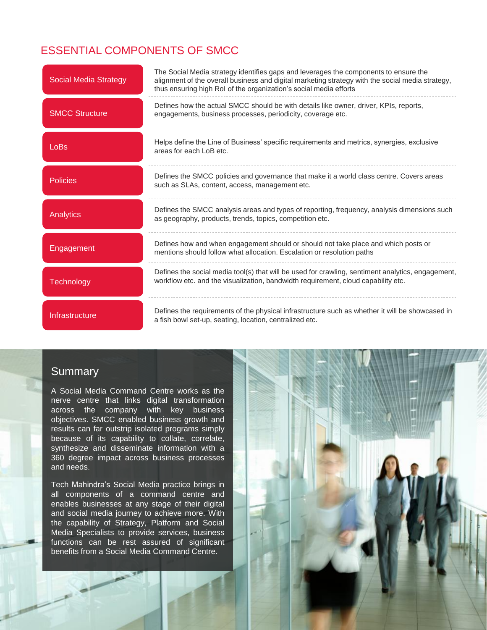### ESSENTIAL COMPONENTS OF SMCC

| <b>Social Media Strategy</b> | The Social Media strategy identifies gaps and leverages the components to ensure the<br>alignment of the overall business and digital marketing strategy with the social media strategy,<br>thus ensuring high RoI of the organization's social media efforts |
|------------------------------|---------------------------------------------------------------------------------------------------------------------------------------------------------------------------------------------------------------------------------------------------------------|
| <b>SMCC Structure</b>        | Defines how the actual SMCC should be with details like owner, driver, KPIs, reports,<br>engagements, business processes, periodicity, coverage etc.                                                                                                          |
| LoBs                         | Helps define the Line of Business' specific requirements and metrics, synergies, exclusive<br>areas for each LoB etc.                                                                                                                                         |
| <b>Policies</b>              | Defines the SMCC policies and governance that make it a world class centre. Covers areas<br>such as SLAs, content, access, management etc.                                                                                                                    |
| <b>Analytics</b>             | Defines the SMCC analysis areas and types of reporting, frequency, analysis dimensions such<br>as geography, products, trends, topics, competition etc.                                                                                                       |
| Engagement                   | Defines how and when engagement should or should not take place and which posts or<br>mentions should follow what allocation. Escalation or resolution paths                                                                                                  |
| <b>Technology</b>            | Defines the social media tool(s) that will be used for crawling, sentiment analytics, engagement,<br>workflow etc. and the visualization, bandwidth requirement, cloud capability etc.                                                                        |
| Infrastructure               | Defines the requirements of the physical infrastructure such as whether it will be showcased in<br>a fish bowl set-up, seating, location, centralized etc.                                                                                                    |

#### **Summary**

A Social Media Command Centre works as the nerve centre that links digital transformation across the company with key business objectives. SMCC enabled business growth and results can far outstrip isolated programs simply because of its capability to collate, correlate, synthesize and disseminate information with a 360 degree impact across business processes and needs.

Tech Mahindra's Social Media practice brings in all components of a command centre and enables businesses at any stage of their digital and social media journey to achieve more. With the capability of Strategy, Platform and Social Media Specialists to provide services, business functions can be rest assured of significant benefits from a Social Media Command Centre.